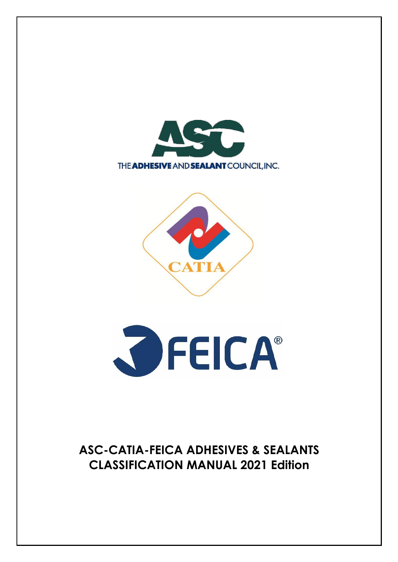





# **ASC-CATIA-FEICA ADHESIVES & SEALANTS CLASSIFICATION MANUAL 2021 Edition**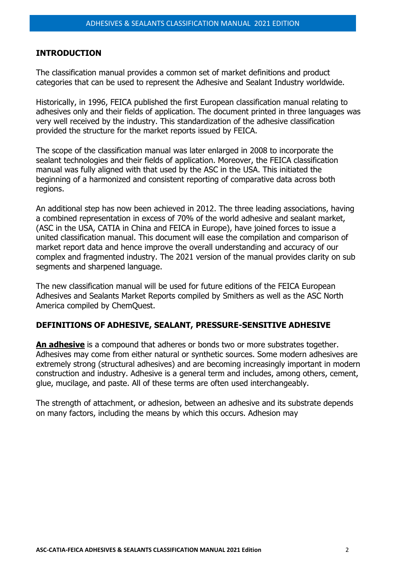#### **INTRODUCTION**

The classification manual provides a common set of market definitions and product categories that can be used to represent the Adhesive and Sealant Industry worldwide.

Historically, in 1996, FEICA published the first European classification manual relating to adhesives only and their fields of application. The document printed in three languages was very well received by the industry. This standardization of the adhesive classification provided the structure for the market reports issued by FEICA.

The scope of the classification manual was later enlarged in 2008 to incorporate the sealant technologies and their fields of application. Moreover, the FEICA classification manual was fully aligned with that used by the ASC in the USA. This initiated the beginning of a harmonized and consistent reporting of comparative data across both regions.

An additional step has now been achieved in 2012. The three leading associations, having a combined representation in excess of 70% of the world adhesive and sealant market, (ASC in the USA, CATIA in China and FEICA in Europe), have joined forces to issue a united classification manual. This document will ease the compilation and comparison of market report data and hence improve the overall understanding and accuracy of our complex and fragmented industry. The 2021 version of the manual provides clarity on sub segments and sharpened language.

The new classification manual will be used for future editions of the FEICA European Adhesives and Sealants Market Reports compiled by Smithers as well as the ASC North America compiled by ChemQuest.

#### **DEFINITIONS OF ADHESIVE, SEALANT, PRESSURE-SENSITIVE ADHESIVE**

**An adhesive** is a compound that adheres or bonds two or more substrates together. Adhesives may come from either natural or synthetic sources. Some modern adhesives are extremely strong (structural adhesives) and are becoming increasingly important in modern construction and industry. Adhesive is a general term and includes, among others, cement, glue, mucilage, and paste. All of these terms are often used interchangeably.

The strength of attachment, or adhesion, between an adhesive and its substrate depends on many factors, including the means by which this occurs. Adhesion may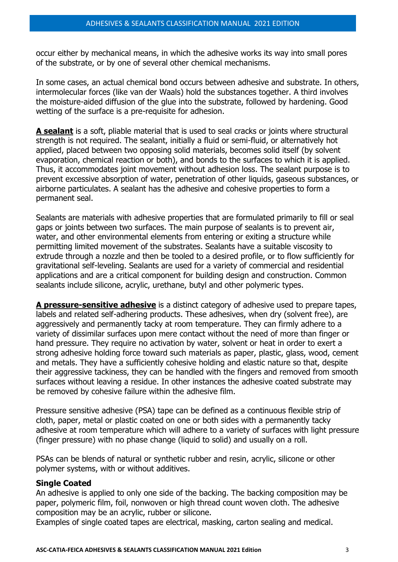occur either by mechanical means, in which the adhesive works its way into small pores of the substrate, or by one of several other chemical mechanisms.

In some cases, an actual chemical bond occurs between adhesive and substrate. In others, intermolecular forces (like van der Waals) hold the substances together. A third involves the moisture-aided diffusion of the glue into the substrate, followed by hardening. Good wetting of the surface is a pre-requisite for adhesion.

**A sealant** is a soft, pliable material that is used to seal cracks or joints where structural strength is not required. The sealant, initially a fluid or semi-fluid, or alternatively hot applied, placed between two opposing solid materials, becomes solid itself (by solvent evaporation, chemical reaction or both), and bonds to the surfaces to which it is applied. Thus, it accommodates joint movement without adhesion loss. The sealant purpose is to prevent excessive absorption of water, penetration of other liquids, gaseous substances, or airborne particulates. A sealant has the adhesive and cohesive properties to form a permanent seal.

Sealants are materials with adhesive properties that are formulated primarily to fill or seal gaps or joints between two surfaces. The main purpose of sealants is to prevent air, water, and other environmental elements from entering or exiting a structure while permitting limited movement of the substrates. Sealants have a suitable viscosity to extrude through a nozzle and then be tooled to a desired profile, or to flow sufficiently for gravitational self-leveling. Sealants are used for a variety of commercial and residential applications and are a critical component for building design and construction. Common sealants include silicone, acrylic, urethane, butyl and other polymeric types.

**A pressure-sensitive adhesive** is a distinct category of adhesive used to prepare tapes, labels and related self-adhering products. These adhesives, when dry (solvent free), are aggressively and permanently tacky at room temperature. They can firmly adhere to a variety of dissimilar surfaces upon mere contact without the need of more than finger or hand pressure. They require no activation by water, solvent or heat in order to exert a strong adhesive holding force toward such materials as paper, plastic, glass, wood, cement and metals. They have a sufficiently cohesive holding and elastic nature so that, despite their aggressive tackiness, they can be handled with the fingers and removed from smooth surfaces without leaving a residue. In other instances the adhesive coated substrate may be removed by cohesive failure within the adhesive film.

Pressure sensitive adhesive (PSA) tape can be defined as a continuous flexible strip of cloth, paper, metal or plastic coated on one or both sides with a permanently tacky adhesive at room temperature which will adhere to a variety of surfaces with light pressure (finger pressure) with no phase change (liquid to solid) and usually on a roll.

PSAs can be blends of natural or synthetic rubber and resin, acrylic, silicone or other polymer systems, with or without additives.

#### **Single Coated**

An adhesive is applied to only one side of the backing. The backing composition may be paper, polymeric film, foil, nonwoven or high thread count woven cloth. The adhesive composition may be an acrylic, rubber or silicone.

Examples of single coated tapes are electrical, masking, carton sealing and medical.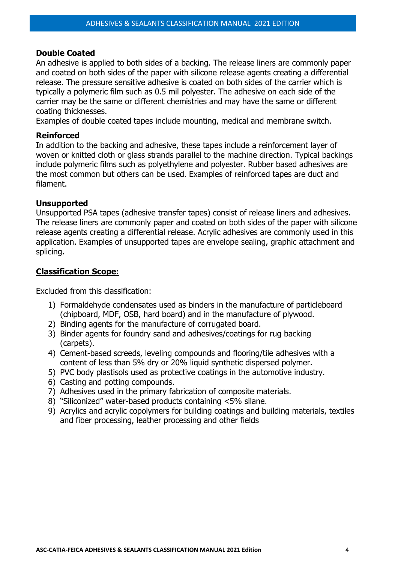### **Double Coated**

An adhesive is applied to both sides of a backing. The release liners are commonly paper and coated on both sides of the paper with silicone release agents creating a differential release. The pressure sensitive adhesive is coated on both sides of the carrier which is typically a polymeric film such as 0.5 mil polyester. The adhesive on each side of the carrier may be the same or different chemistries and may have the same or different coating thicknesses.

Examples of double coated tapes include mounting, medical and membrane switch.

### **Reinforced**

In addition to the backing and adhesive, these tapes include a reinforcement layer of woven or knitted cloth or glass strands parallel to the machine direction. Typical backings include polymeric films such as polyethylene and polyester. Rubber based adhesives are the most common but others can be used. Examples of reinforced tapes are duct and filament.

### **Unsupported**

Unsupported PSA tapes (adhesive transfer tapes) consist of release liners and adhesives. The release liners are commonly paper and coated on both sides of the paper with silicone release agents creating a differential release. Acrylic adhesives are commonly used in this application. Examples of unsupported tapes are envelope sealing, graphic attachment and splicing.

### **Classification Scope:**

Excluded from this classification:

- 1) Formaldehyde condensates used as binders in the manufacture of particleboard (chipboard, MDF, OSB, hard board) and in the manufacture of plywood.
- 2) Binding agents for the manufacture of corrugated board.
- 3) Binder agents for foundry sand and adhesives/coatings for rug backing (carpets).
- 4) Cement-based screeds, leveling compounds and flooring/tile adhesives with a content of less than 5% dry or 20% liquid synthetic dispersed polymer.
- 5) PVC body plastisols used as protective coatings in the automotive industry.
- 6) Casting and potting compounds.
- 7) Adhesives used in the primary fabrication of composite materials.
- 8) "Siliconized" water-based products containing <5% silane.
- 9) Acrylics and acrylic copolymers for building coatings and building materials, textiles and fiber processing, leather processing and other fields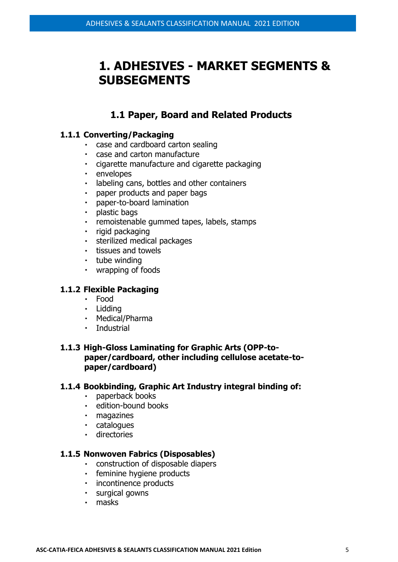# **1. ADHESIVES - MARKET SEGMENTS & SUBSEGMENTS**

## **1.1 Paper, Board and Related Products**

### **1.1.1 Converting/Packaging**

- case and cardboard carton sealing
- case and carton manufacture
- cigarette manufacture and cigarette packaging
- envelopes
- $\mathbf{r}$  . labeling cans, bottles and other containers
- paper products and paper bags  $\mathbf{r}^{\prime}$
- paper-to-board lamination
- $\mathbf{r}$  . plastic bags
- remoistenable gummed tapes, labels, stamps  $\mathbf{r}$  .
- · rigid packaging
- sterilized medical packages
- **tissues and towels**
- · tube winding
- wrapping of foods

### **1.1.2 Flexible Packaging**

- Food
- Lidding
- Medical/Pharma
- Industrial

### **1.1.3 High-Gloss Laminating for Graphic Arts (OPP-topaper/cardboard, other including cellulose acetate-topaper/cardboard)**

#### **1.1.4 Bookbinding, Graphic Art Industry integral binding of:**

- paperback books
- **edition-bound books**
- magazines
- catalogues
- **directories**

### **1.1.5 Nonwoven Fabrics (Disposables)**

- construction of disposable diapers
- **feminine hygiene products**
- **·** incontinence products
- surgical gowns
- masks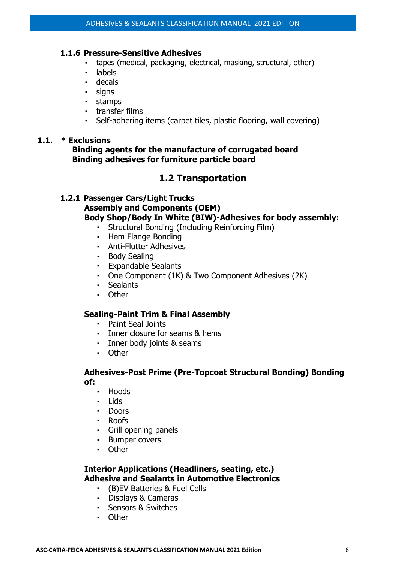### **1.1.6 Pressure-Sensitive Adhesives**

- tapes (medical, packaging, electrical, masking, structural, other)  $\mathbf{r}$
- labels  $\mathbf{r}$  .
- decals
- · signs
- stamps
- transfer films
- Self-adhering items (carpet tiles, plastic flooring, wall covering)

### **1.1. \* Exclusions**

**Binding agents for the manufacture of corrugated board Binding adhesives for furniture particle board**

## **1.2 Transportation**

### **1.2.1 Passenger Cars/Light Trucks Assembly and Components (OEM) [Body Shop/Body In White \(BIW\)-](https://www.adhesives.org/docs/pdfs/adhesive-sealant-selection-guide_for_oem_body_shops.pdf?sfvrsn=83c09bfb_0)Adhesives for body assembly:**

- $\mathbf{r} = \mathbf{r}$ Structural Bonding (Including Reinforcing Film)
- Hem Flange Bonding
- Anti-Flutter Adhesives
- Body Sealing
- Expandable Sealants
- One Component (1K) & Two Component Adhesives (2K)
- Sealants
- Other

### **Sealing[-Paint Trim & Final Assembly](https://www.adhesives.org/docs/default-source/pdfs/as-selectguide-oem-paint-trim-assemblyfinal.pdf?sfvrsn=5b76a401_2)**

- Paint Seal Joints
- Inner closure for seams & hems
- **·** Inner body joints & seams
- Other

### **Adhesives-Post Prime (Pre-Topcoat Structural Bonding) Bonding of:**

- Hoods
- . lids
- Doors
- Roofs
- Grill opening panels
- Bumper covers
- Other

## **Interior Applications (Headliners, seating, etc.) Adhesive and Sealants in Automotive Electronics**

- (B)EV Batteries & Fuel Cells
- Displays & Cameras
- Sensors & Switches
- Other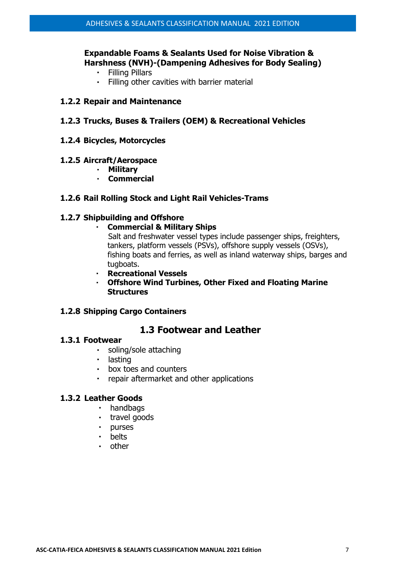### **Expandable Foams & Sealants Used for Noise Vibration & Harshness (NVH)-(Dampening Adhesives for Body Sealing)**

- Filling Pillars
- Filling other cavities with barrier material

#### **1.2.2 Repair and Maintenance**

### **1.2.3 Trucks, Buses & Trailers (OEM) & Recreational Vehicles**

**1.2.4 Bicycles, Motorcycles** 

#### **1.2.5 Aircraft/Aerospace**

- **Military**
- **Commercial**

#### **1.2.6 Rail Rolling Stock and Light Rail Vehicles-Trams**

#### **1.2.7 Shipbuilding and Offshore**

**Commercial & Military Ships**

Salt and freshwater vessel types include passenger ships, freighters, tankers, platform vessels (PSVs), offshore supply vessels (OSVs), fishing boats and ferries, as well as inland waterway ships, barges and tugboats.

- **Recreational Vessels**
- **Offshore Wind Turbines, Other Fixed and Floating Marine Structures**

#### **1.2.8 Shipping Cargo Containers**

### **1.3 Footwear and Leather**

### **1.3.1 Footwear**

- soling/sole attaching
- lasting
- box toes and counters
- repair aftermarket and other applications

### **1.3.2 Leather Goods**

- · handbags
- travel goods
- purses
- belts  $\mathbf{u} = \mathbf{0}$
- other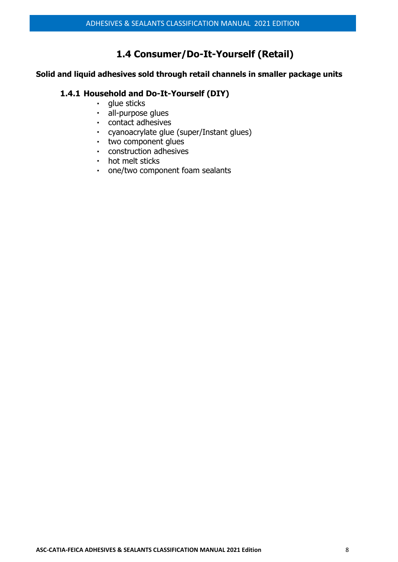## **1.4 Consumer/Do-It-Yourself (Retail)**

## **Solid and liquid adhesives sold through retail channels in smaller package units**

## **1.4.1 Household and Do-It-Yourself (DIY)**

- glue sticks  $\mathbf{r}$  .
- · all-purpose glues
- contact adhesives
- cyanoacrylate glue (super/Instant glues)
- two component glues
- construction adhesives
- hot melt sticks
- one/two component foam sealants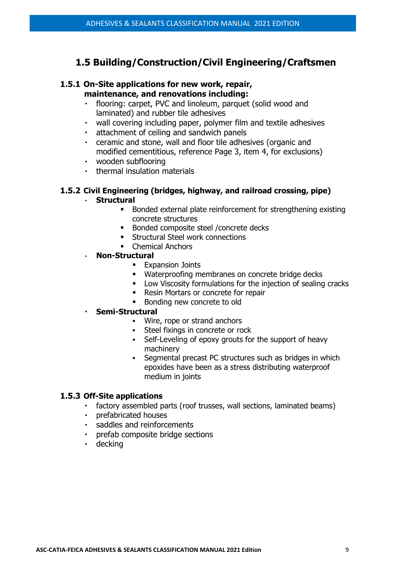## **1.5 Building/Construction/Civil Engineering/Craftsmen**

#### **1.5.1 On-Site applications for new work, repair, maintenance, and renovations including:**

- flooring: carpet, PVC and linoleum, parquet (solid wood and  $\mathbf{r}^{\prime}$ laminated) and rubber tile adhesives
- wall covering including paper, polymer film and textile adhesives
- $\mathbf{r}$  . attachment of ceiling and sandwich panels
- ceramic and stone, wall and floor tile adhesives (organic and modified cementitious, reference Page 3, item 4, for exclusions)
- wooden subflooring
- thermal insulation materials

### **1.5.2 Civil Engineering (bridges, highway, and railroad crossing, pipe)**

#### **Structural**

- Bonded external plate reinforcement for strengthening existing concrete structures
- Bonded composite steel / concrete decks
- **EXECUTE:** Structural Steel work connections
- Chemical Anchors

### **Non-Structural**

- **Expansion Joints**
- Waterproofing membranes on concrete bridge decks
- **■** Low Viscosity formulations for the injection of sealing cracks
- Resin Mortars or concrete for repair
- Bonding new concrete to old

#### **Semi-Structural**

- Wire, rope or strand anchors
- **•** Steel fixings in concrete or rock
- Self-Leveling of epoxy grouts for the support of heavy machinery
- **•** Segmental precast PC structures such as bridges in which epoxides have been as a stress distributing waterproof medium in joints

#### **1.5.3 Off-Site applications**

- factory assembled parts (roof trusses, wall sections, laminated beams)
- $\mathbf{r}^{\left(1\right)}$ prefabricated houses
- $\mathbf{r}$ saddles and reinforcements
- prefab composite bridge sections
- · decking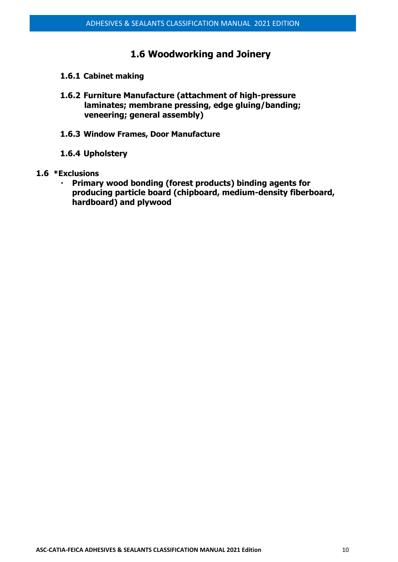## **1.6 Woodworking and Joinery**

- **1.6.1 Cabinet making**
- **1.6.2 Furniture Manufacture (attachment of high-pressure laminates; membrane pressing, edge gluing/banding; veneering; general assembly)**
- **1.6.3 Window Frames, Door Manufacture**
- **1.6.4 Upholstery**
- **1.6 \*Exclusions**
	- **Primary wood bonding (forest products) binding agents for**   $\mathbf{r}$  . **producing particle board (chipboard, medium-density fiberboard, hardboard) and plywood**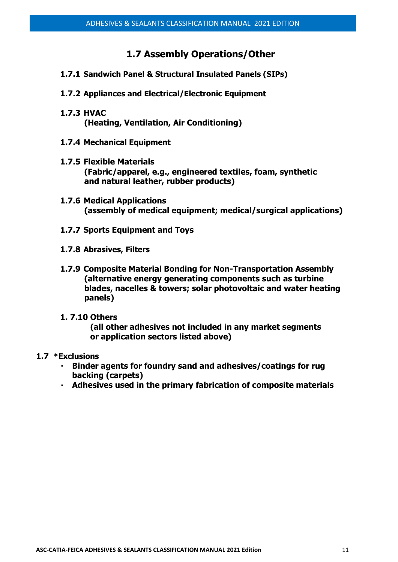## **1.7 Assembly Operations/Other**

- **1.7.1 Sandwich Panel & Structural Insulated Panels (SIPs)**
- **1.7.2 Appliances and Electrical/Electronic Equipment**
- **1.7.3 HVAC (Heating, Ventilation, Air Conditioning)**
- **1.7.4 Mechanical Equipment**
- **1.7.5 Flexible Materials (Fabric/apparel, e.g., engineered textiles, foam, synthetic and natural leather, rubber products)**
- **1.7.6 Medical Applications (assembly of medical equipment; medical/surgical applications)**
- **1.7.7 Sports Equipment and Toys**
- **1.7.8 Abrasives, Filters**
- **1.7.9 Composite Material Bonding for Non-Transportation Assembly (alternative energy generating components such as turbine blades, nacelles & towers; solar photovoltaic and water heating panels)**

#### **1. 7.10 Others**

**(all other adhesives not included in any market segments or application sectors listed above)**

#### **1.7 \*Exclusions**

- **Binder agents for foundry sand and adhesives/coatings for rug backing (carpets)**
- **Adhesives used in the primary fabrication of composite materials**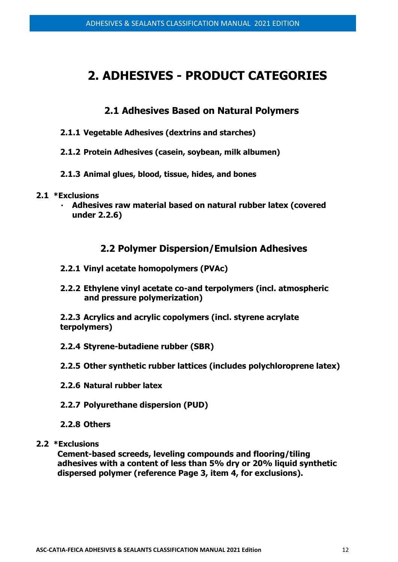# **2. ADHESIVES - PRODUCT CATEGORIES**

## **2.1 Adhesives Based on Natural Polymers**

- **2.1.1 Vegetable Adhesives (dextrins and starches)**
- **2.1.2 Protein Adhesives (casein, soybean, milk albumen)**
- **2.1.3 Animal glues, blood, tissue, hides, and bones**
- **2.1 \*Exclusions**
	- **Adhesives raw material based on natural rubber latex (covered under 2.2.6)**

## **2.2 Polymer Dispersion/Emulsion Adhesives**

- **2.2.1 Vinyl acetate homopolymers (PVAc)**
- **2.2.2 Ethylene vinyl acetate co-and terpolymers (incl. atmospheric and pressure polymerization)**

**2.2.3 Acrylics and acrylic copolymers (incl. styrene acrylate terpolymers)**

- **2.2.4 Styrene-butadiene rubber (SBR)**
- **2.2.5 Other synthetic rubber lattices (includes polychloroprene latex)**
- **2.2.6 Natural rubber latex**
- **2.2.7 Polyurethane dispersion (PUD)**
- **2.2.8 Others**
- **2.2 \*Exclusions**

**Cement-based screeds, leveling compounds and flooring/tiling adhesives with a content of less than 5% dry or 20% liquid synthetic dispersed polymer (reference Page 3, item 4, for exclusions).**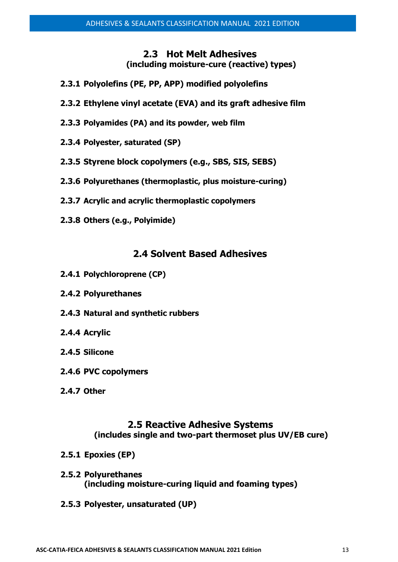## **2.3 Hot Melt Adhesives (including moisture-cure (reactive) types)**

- **2.3.1 Polyolefins (PE, PP, APP) modified polyolefins**
- **2.3.2 Ethylene vinyl acetate (EVA) and its graft adhesive film**
- **2.3.3 Polyamides (PA) and its powder, web film**
- **2.3.4 Polyester, saturated (SP)**
- **2.3.5 Styrene block copolymers (e.g., SBS, SIS, SEBS)**
- **2.3.6 Polyurethanes (thermoplastic, plus moisture-curing)**
- **2.3.7 Acrylic and acrylic thermoplastic copolymers**
- **2.3.8 Others (e.g., Polyimide)**

## **2.4 Solvent Based Adhesives**

- **2.4.1 Polychloroprene (CP)**
- **2.4.2 Polyurethanes**
- **2.4.3 Natural and synthetic rubbers**
- **2.4.4 Acrylic**
- **2.4.5 Silicone**
- **2.4.6 PVC copolymers**
- **2.4.7 Other**

## **2.5 Reactive Adhesive Systems (includes single and two-part thermoset plus UV/EB cure)**

- **2.5.1 Epoxies (EP)**
- **2.5.2 Polyurethanes (including moisture-curing liquid and foaming types)**
- **2.5.3 Polyester, unsaturated (UP)**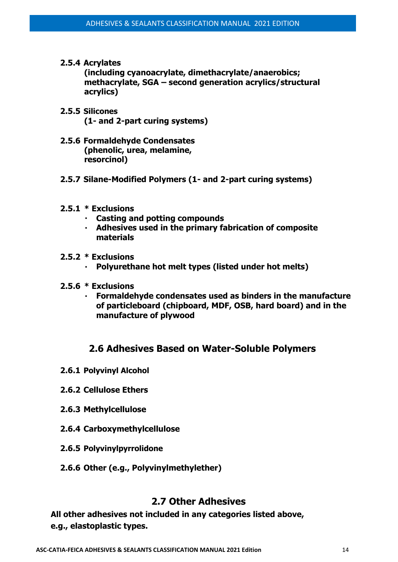**2.5.4 Acrylates**

**(including cyanoacrylate, dimethacrylate/anaerobics; methacrylate, SGA – second generation acrylics/structural acrylics)**

- **2.5.5 Silicones (1- and 2-part curing systems)**
- **2.5.6 Formaldehyde Condensates (phenolic, urea, melamine, resorcinol)**
- **2.5.7 Silane-Modified Polymers (1- and 2-part curing systems)**
- **2.5.1 \* Exclusions**
	- **Casting and potting compounds**
	- **Adhesives used in the primary fabrication of composite materials**
- **2.5.2 \* Exclusions**
	- **Polyurethane hot melt types (listed under hot melts)**
- **2.5.6 \* Exclusions**
	- **Formaldehyde condensates used as binders in the manufacture of particleboard (chipboard, MDF, OSB, hard board) and in the manufacture of plywood**

## **2.6 Adhesives Based on Water-Soluble Polymers**

- **2.6.1 Polyvinyl Alcohol**
- **2.6.2 Cellulose Ethers**
- **2.6.3 Methylcellulose**
- **2.6.4 Carboxymethylcellulose**
- **2.6.5 Polyvinylpyrrolidone**
- **2.6.6 Other (e.g., Polyvinylmethylether)**

## **2.7 Other Adhesives**

**All other adhesives not included in any categories listed above, e.g., elastoplastic types.**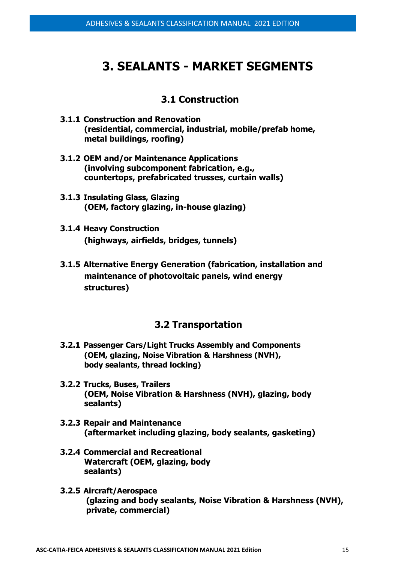# **3. SEALANTS - MARKET SEGMENTS**

## **3.1 Construction**

- **3.1.1 Construction and Renovation (residential, commercial, industrial, mobile/prefab home, metal buildings, roofing)**
- **3.1.2 OEM and/or Maintenance Applications (involving subcomponent fabrication, e.g., countertops, prefabricated trusses, curtain walls)**
- **3.1.3 Insulating Glass, Glazing (OEM, factory glazing, in-house glazing)**
- **3.1.4 Heavy Construction (highways, airfields, bridges, tunnels)**
- **3.1.5 Alternative Energy Generation (fabrication, installation and maintenance of photovoltaic panels, wind energy structures)**

## **3.2 Transportation**

- **3.2.1 Passenger Cars/Light Trucks Assembly and Components (OEM, glazing, Noise Vibration & Harshness (NVH), body sealants, thread locking)**
- **3.2.2 Trucks, Buses, Trailers (OEM, Noise Vibration & Harshness (NVH), glazing, body sealants)**
- **3.2.3 Repair and Maintenance (aftermarket including glazing, body sealants, gasketing)**
- **3.2.4 Commercial and Recreational Watercraft (OEM, glazing, body sealants)**
- **3.2.5 Aircraft/Aerospace (glazing and body sealants, Noise Vibration & Harshness (NVH), private, commercial)**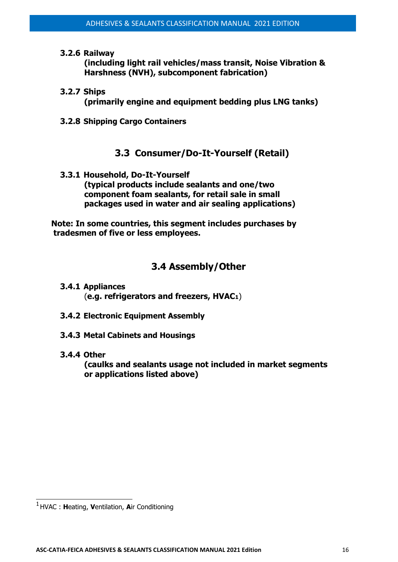**3.2.6 Railway**

**(including light rail vehicles/mass transit, Noise Vibration & Harshness (NVH), subcomponent fabrication)**

- **3.2.7 Ships (primarily engine and equipment bedding plus LNG tanks)**
- **3.2.8 Shipping Cargo Containers**

## **3.3 Consumer/Do-It-Yourself (Retail)**

**3.3.1 Household, Do-It-Yourself (typical products include sealants and one/two component foam sealants, for retail sale in small packages used in water and air sealing applications)**

**Note: In some countries, this segment includes purchases by tradesmen of five or less employees.**

## **3.4 Assembly/Other**

- **3.4.1 Appliances** (**e.g. refrigerators and freezers, HVAC1**)
- **3.4.2 Electronic Equipment Assembly**
- **3.4.3 Metal Cabinets and Housings**
- **3.4.4 Other**

**(caulks and sealants usage not included in market segments or applications listed above)**

<sup>1</sup>HVAC : **H**eating, **V**entilation, **A**ir Conditioning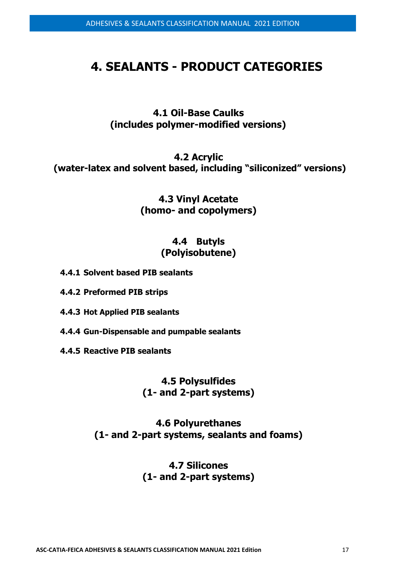# **4. SEALANTS - PRODUCT CATEGORIES**

**4.1 Oil-Base Caulks (includes polymer-modified versions)**

**4.2 Acrylic (water-latex and solvent based, including "siliconized" versions)**

> **4.3 Vinyl Acetate (homo- and copolymers)**

## **4.4 Butyls (Polyisobutene)**

**4.4.1 Solvent based PIB sealants**

**4.4.2 Preformed PIB strips**

**4.4.3 Hot Applied PIB sealants**

**4.4.4 Gun-Dispensable and pumpable sealants**

**4.4.5 Reactive PIB sealants**

## **4.5 Polysulfides (1- and 2-part systems)**

**4.6 Polyurethanes (1- and 2-part systems, sealants and foams)**

## **4.7 Silicones (1- and 2-part systems)**